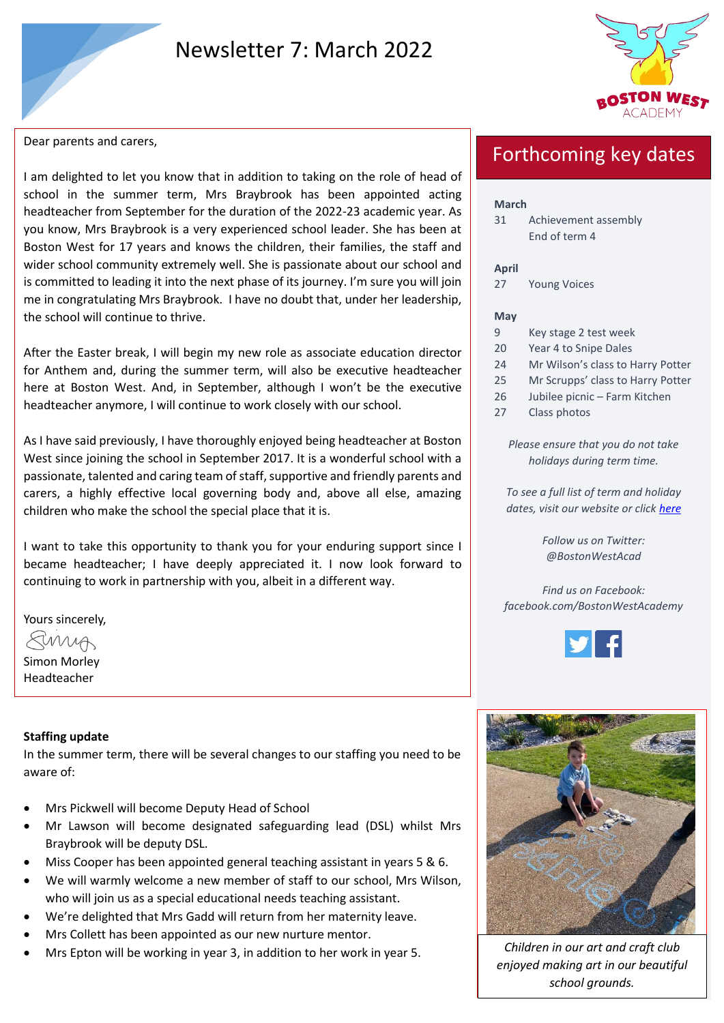# Newsletter 7: March 2022



Dear parents and carers,

I am delighted to let you know that in addition to taking on the role of head of school in the summer term, Mrs Braybrook has been appointed acting headteacher from September for the duration of the 2022-23 academic year. As you know, Mrs Braybrook is a very experienced school leader. She has been at Boston West for 17 years and knows the children, their families, the staff and wider school community extremely well. She is passionate about our school and is committed to leading it into the next phase of its journey. I'm sure you will join me in congratulating Mrs Braybrook. I have no doubt that, under her leadership, the school will continue to thrive.

After the Easter break, I will begin my new role as associate education director for Anthem and, during the summer term, will also be executive headteacher here at Boston West. And, in September, although I won't be the executive headteacher anymore, I will continue to work closely with our school.

As I have said previously, I have thoroughly enjoyed being headteacher at Boston West since joining the school in September 2017. It is a wonderful school with a passionate, talented and caring team of staff, supportive and friendly parents and carers, a highly effective local governing body and, above all else, amazing children who make the school the special place that it is.

I want to take this opportunity to thank you for your enduring support since I became headteacher; I have deeply appreciated it. I now look forward to continuing to work in partnership with you, albeit in a different way.

Yours sincerely,

Emma

Simon Morley Headteacher

## **Staffing update**

In the summer term, there will be several changes to our staffing you need to be aware of:

- Mrs Pickwell will become Deputy Head of School
- Mr Lawson will become designated safeguarding lead (DSL) whilst Mrs Braybrook will be deputy DSL.
- Miss Cooper has been appointed general teaching assistant in years 5 & 6.
- We will warmly welcome a new member of staff to our school, Mrs Wilson, who will join us as a special educational needs teaching assistant.
- We're delighted that Mrs Gadd will return from her maternity leave.
- Mrs Collett has been appointed as our new nurture mentor.
- Mrs Epton will be working in year 3, in addition to her work in year 5. *Children in our art and craft club*

# Forthcoming key dates

## **March**

31 Achievement assembly End of term 4

## **April**

27 Young Voices

### **May**

- 9 Key stage 2 test week
- 20 Year 4 to Snipe Dales
- 24 Mr Wilson's class to Harry Potter
- 25 Mr Scrupps' class to Harry Potter
- 26 Jubilee picnic Farm Kitchen
- 27 Class photos

*Please ensure that you do not take holidays during term time.*

*To see a full list of term and holiday dates, visit our website or click [here](https://www.bwacademy.co.uk/page/?title=Term+Dates&pid=38)*

> *Follow us on Twitter: @BostonWestAcad*

*Find us on Facebook: facebook.com/BostonWestAcademy*





*enjoyed making art in our beautiful school grounds.*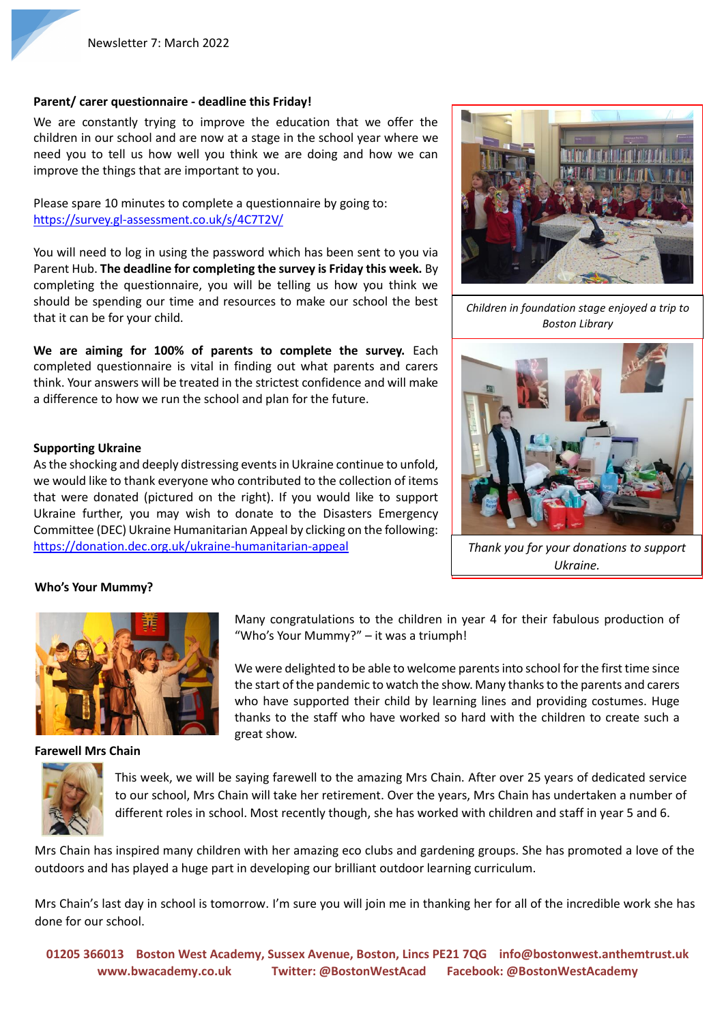## **Parent/ carer questionnaire - deadline this Friday!**

We are constantly trying to improve the education that we offer the children in our school and are now at a stage in the school year where we need you to tell us how well you think we are doing and how we can improve the things that are important to you.

Please spare 10 minutes to complete a questionnaire by going to: <https://survey.gl-assessment.co.uk/s/4C7T2V/>

You will need to log in using the password which has been sent to you via Parent Hub. **The deadline for completing the survey is Friday this week.** By completing the questionnaire, you will be telling us how you think we should be spending our time and resources to make our school the best that it can be for your child.

**We are aiming for 100% of parents to complete the survey.** Each completed questionnaire is vital in finding out what parents and carers think. Your answers will be treated in the strictest confidence and will make a difference to how we run the school and plan for the future.

### **Supporting Ukraine**

As the shocking and deeply distressing events in Ukraine continue to unfold, we would like to thank everyone who contributed to the collection of items that were donated (pictured on the right). If you would like to support Ukraine further, you may wish to donate to the Disasters Emergency Committee (DEC) Ukraine Humanitarian Appeal by clicking on the following: <https://donation.dec.org.uk/ukraine-humanitarian-appeal>



*Children in foundation stage enjoyed a trip to Boston Library*



*Thank you for your donations to support Ukraine.*

### **Who's Your Mummy?**



**Farewell Mrs Chain**

Many congratulations to the children in year 4 for their fabulous production of "Who's Your Mummy?" – it was a triumph!

We were delighted to be able to welcome parents into school for the first time since the start of the pandemic to watch the show. Many thanks to the parents and carers who have supported their child by learning lines and providing costumes. Huge thanks to the staff who have worked so hard with the children to create such a great show.



This week, we will be saying farewell to the amazing Mrs Chain. After over 25 years of dedicated service to our school, Mrs Chain will take her retirement. Over the years, Mrs Chain has undertaken a number of different roles in school. Most recently though, she has worked with children and staff in year 5 and 6.

Mrs Chain has inspired many children with her amazing eco clubs and gardening groups. She has promoted a love of the outdoors and has played a huge part in developing our brilliant outdoor learning curriculum.

Mrs Chain's last day in school is tomorrow. I'm sure you will join me in thanking her for all of the incredible work she has done for our school.